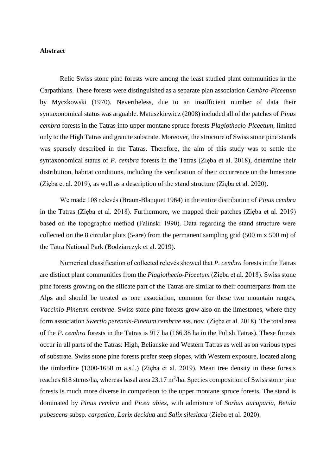## **Abstract**

Relic Swiss stone pine forests were among the least studied plant communities in the Carpathians. These forests were distinguished as a separate plan association *Cembro-Piceetum* by Myczkowski (1970). Nevertheless, due to an insufficient number of data their syntaxonomical status was arguable. Matuszkiewicz (2008) included all of the patches of *Pinus cembra* forests in the Tatras into upper montane spruce forests *Plagiothecio-Piceetum*, limited only to the High Tatras and granite substrate. Moreover, the structure of Swiss stone pine stands was sparsely described in the Tatras. Therefore, the aim of this study was to settle the syntaxonomical status of *P. cembra* forests in the Tatras (Zięba et al. 2018), determine their distribution, habitat conditions, including the verification of their occurrence on the limestone (Zięba et al. 2019), as well as a description of the stand structure (Zięba et al. 2020).

We made 108 relevés (Braun-Blanquet 1964) in the entire distribution of *Pinus cembra*  in the Tatras (Zięba et al. 2018). Furthermore, we mapped their patches (Zięba et al. 2019) based on the topographic method (Faliński 1990). Data regarding the stand structure were collected on the 8 circular plots (5-are) from the permanent sampling grid (500 m x 500 m) of the Tatra National Park (Bodziarczyk et al. 2019).

Numerical classification of collected relevés showed that *P. cembra* forests in the Tatras are distinct plant communities from the *Plagiothecio-Piceetum* (Zięba et al. 2018). Swiss stone pine forests growing on the silicate part of the Tatras are similar to their counterparts from the Alps and should be treated as one association, common for these two mountain ranges, *Vaccinio-Pinetum cembrae*. Swiss stone pine forests grow also on the limestones, where they form association *Swertio perennis-Pinetum cembrae* ass. nov. (Zięba et al. 2018). The total area of the *P. cembra* forests in the Tatras is 917 ha (166.38 ha in the Polish Tatras). These forests occur in all parts of the Tatras: High, Belianske and Western Tatras as well as on various types of substrate. Swiss stone pine forests prefer steep slopes, with Western exposure, located along the timberline (1300-1650 m a.s.l.) (Zięba et al. 2019). Mean tree density in these forests reaches 618 stems/ha, whereas basal area  $23.17 \text{ m}^2/\text{ha}$ . Species composition of Swiss stone pine forests is much more diverse in comparison to the upper montane spruce forests. The stand is dominated by *Pinus cembra* and *Picea abies*, with admixture of *Sorbus aucuparia*, *Betula pubescens* subsp. *carpatica*, *Larix decidua* and *Salix silesiaca* (Zięba et al. 2020).